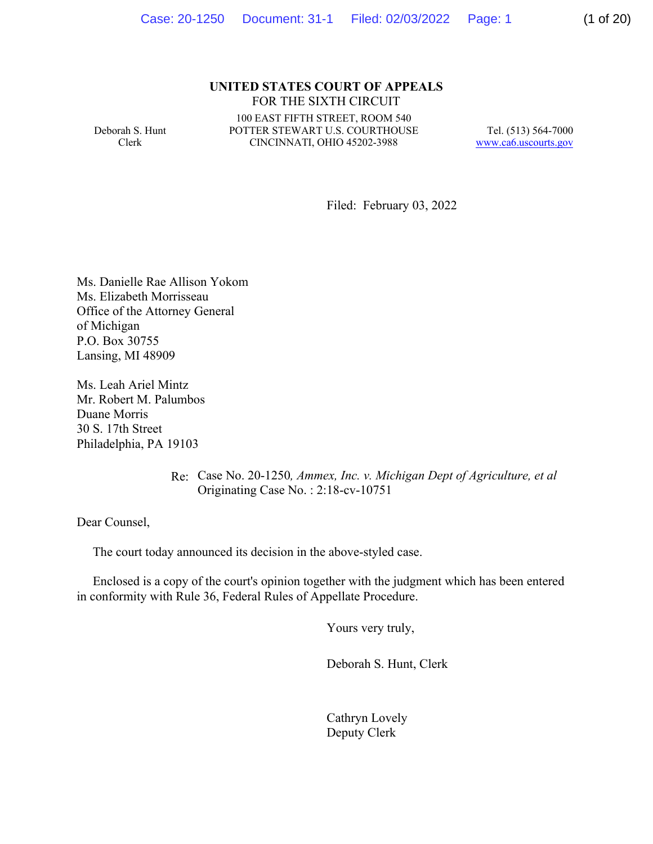#### **UNITED STATES COURT OF APPEALS**  FOR THE SIXTH CIRCUIT

Deborah S. Hunt Clerk

 POTTER STEWART U.S. COURTHOUSE CINCINNATI, OHIO 45202-3988 CINCINNATI, OHIO 45202-3988 100 EAST FIFTH STREET, ROOM 540

 Tel. (513) 564-7000 www.ca6.uscourts.gov

Filed: February 03, 2022

Ms. Danielle Rae Allison Yokom Ms. Elizabeth Morrisseau Office of the Attorney General of Michigan P.O. Box 30755 Lansing, MI 48909

Ms. Leah Ariel Mintz Mr. Robert M. Palumbos Duane Morris 30 S. 17th Street Philadelphia, PA 19103

> Re: Case No. 20-1250*, Ammex, Inc. v. Michigan Dept of Agriculture, et al*  Originating Case No. : 2:18-cv-10751

Dear Counsel,

The court today announced its decision in the above-styled case.

 Enclosed is a copy of the court's opinion together with the judgment which has been entered in conformity with Rule 36, Federal Rules of Appellate Procedure.

Yours very truly,

Deborah S. Hunt, Clerk

Cathryn Lovely Deputy Clerk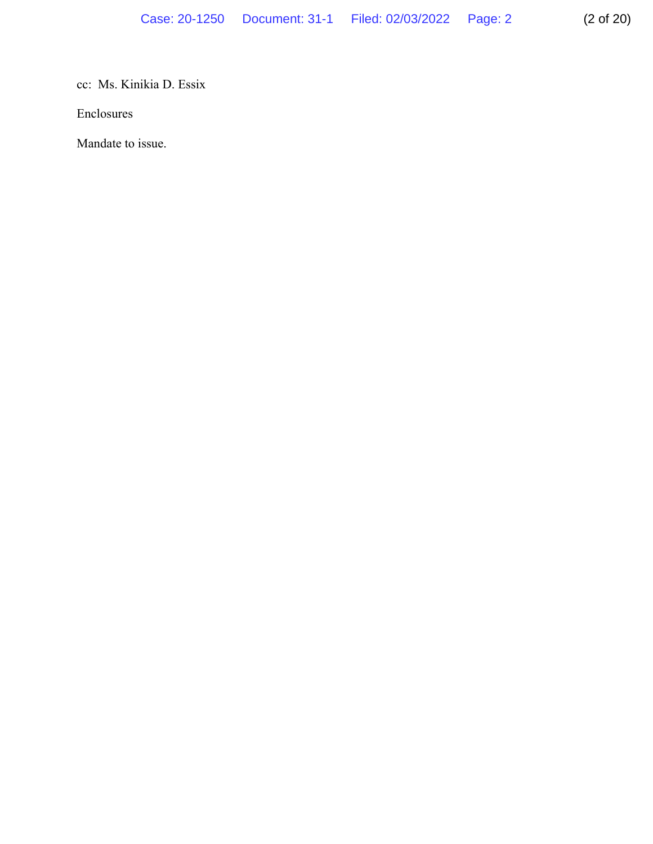cc: Ms. Kinikia D. Essix

Enclosures

Mandate to issue.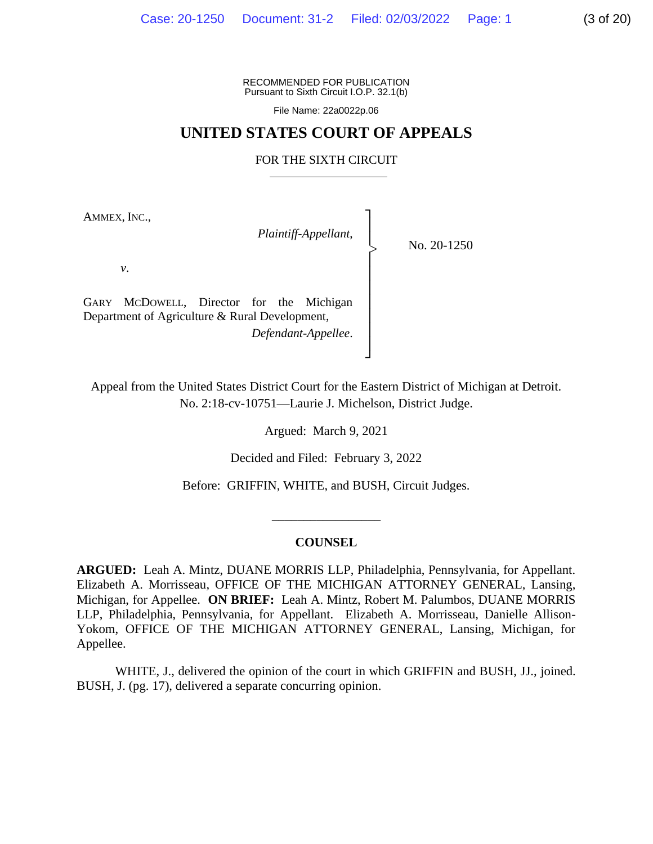RECOMMENDED FOR PUBLICATION Pursuant to Sixth Circuit I.O.P. 32.1(b)

File Name: [22a0022p.06](https://22a0022p.06)

## **UNITED STATES COURT OF APPEALS**

#### FOR THE SIXTH CIRCUIT

AMMEX, INC.,

│ *Plaintiff-Appellant*, │

> No. 20-1250

*v*.

GARY MCDOWELL, Director for the Michigan | Department of Agriculture & Rural Development, *Defendant-Appellee*. │

Appeal from the United States District Court for the Eastern District of Michigan at Detroit. No. 2:18-cv-10751—Laurie J. Michelson, District Judge.

│

│ ┘

Argued: March 9, 2021

Decided and Filed: February 3, 2022

Before: GRIFFIN, WHITE, and BUSH, Circuit Judges.

#### **COUNSEL**

 $\overline{\phantom{a}}$  , where  $\overline{\phantom{a}}$ 

 **ARGUED:** Leah A. Mintz, DUANE MORRIS LLP, Philadelphia, Pennsylvania, for Appellant. Michigan, for Appellee. **ON BRIEF:** Leah A. Mintz, Robert M. Palumbos, DUANE MORRIS LLP, Philadelphia, Pennsylvania, for Appellant. Elizabeth A. Morrisseau, Danielle Allison- Yokom, OFFICE OF THE MICHIGAN ATTORNEY GENERAL, Lansing, Michigan, for Elizabeth A. Morrisseau, OFFICE OF THE MICHIGAN ATTORNEY GENERAL, Lansing, Appellee.

WHITE, J., delivered the opinion of the court in which GRIFFIN and BUSH, JJ., joined. BUSH, J. (pg. 17), delivered a separate concurring opinion.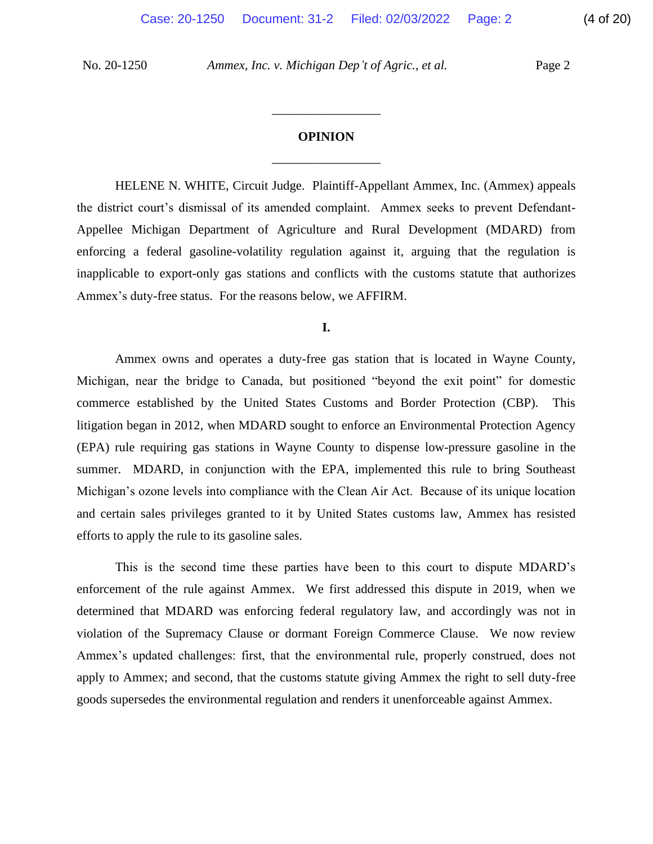## \_\_\_\_\_\_\_\_\_\_\_\_\_\_\_\_\_ **OPINION**

\_\_\_\_\_\_\_\_\_\_\_\_\_\_\_\_\_

 HELENE N. WHITE, Circuit Judge. Plaintiff-Appellant Ammex, Inc. (Ammex) appeals Appellee Michigan Department of Agriculture and Rural Development (MDARD) from the district court's dismissal of its amended complaint. Ammex seeks to prevent Defendantenforcing a federal gasoline-volatility regulation against it, arguing that the regulation is inapplicable to export-only gas stations and conflicts with the customs statute that authorizes Ammex's duty-free status. For the reasons below, we AFFIRM.

**I.** 

 Michigan, near the bridge to Canada, but positioned "beyond the exit point" for domestic commerce established by the United States Customs and Border Protection (CBP). This litigation began in 2012, when MDARD sought to enforce an Environmental Protection Agency (EPA) rule requiring gas stations in Wayne County to dispense low-pressure gasoline in the summer. MDARD, in conjunction with the EPA, implemented this rule to bring Southeast Michigan's ozone levels into compliance with the Clean Air Act. Because of its unique location Ammex owns and operates a duty-free gas station that is located in Wayne County, and certain sales privileges granted to it by United States customs law, Ammex has resisted efforts to apply the rule to its gasoline sales.

 This is the second time these parties have been to this court to dispute MDARD's enforcement of the rule against Ammex. We first addressed this dispute in 2019, when we violation of the Supremacy Clause or dormant Foreign Commerce Clause. We now review apply to Ammex; and second, that the customs statute giving Ammex the right to sell duty-free determined that MDARD was enforcing federal regulatory law, and accordingly was not in Ammex's updated challenges: first, that the environmental rule, properly construed, does not goods supersedes the environmental regulation and renders it unenforceable against Ammex.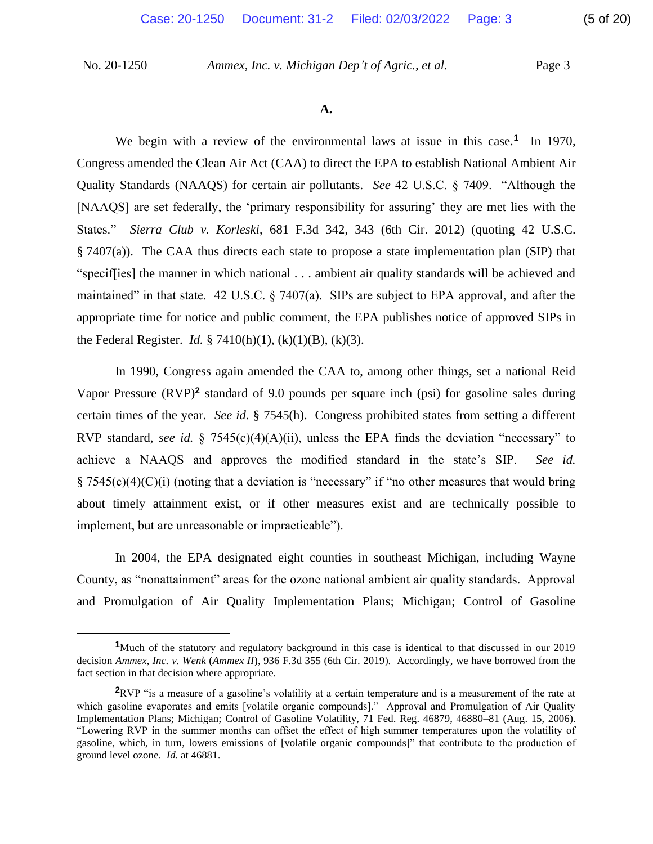We begin with a review of the environmental laws at issue in this case.<sup>1</sup> In 1970, [NAAQS] are set federally, the 'primary responsibility for assuring' they are met lies with the States." *Sierra Club v. Korleski*, 681 F.3d 342, 343 (6th Cir. 2012) (quoting 42 U.S.C. § 7407(a)). The CAA thus directs each state to propose a state implementation plan (SIP) that "specif[ies] the manner in which national . . . ambient air quality standards will be achieved and maintained" in that state. 42 U.S.C. § 7407(a). SIPs are subject to EPA approval, and after the appropriate time for notice and public comment, the EPA publishes notice of approved SIPs in Congress amended the Clean Air Act (CAA) to direct the EPA to establish National Ambient Air Quality Standards (NAAQS) for certain air pollutants. *See* 42 U.S.C. § 7409. "Although the the Federal Register. *Id.* § 7410(h)(1), (k)(1)(B), (k)(3).

 In 1990, Congress again amended the CAA to, among other things, set a national Reid certain times of the year. *See id.* § 7545(h). Congress prohibited states from setting a different RVP standard, *see id.* § 7545(c)(4)(A)(ii), unless the EPA finds the deviation "necessary" to achieve a NAAQS and approves the modified standard in the state's SIP. *See id.*   $\S 7545(c)(4)(C)(i)$  (noting that a deviation is "necessary" if "no other measures that would bring about timely attainment exist, or if other measures exist and are technically possible to Vapor Pressure (RVP)**<sup>2</sup>** standard of 9.0 pounds per square inch (psi) for gasoline sales during implement, but are unreasonable or impracticable").

 County, as "nonattainment" areas for the ozone national ambient air quality standards. Approval In 2004, the EPA designated eight counties in southeast Michigan, including Wayne and Promulgation of Air Quality Implementation Plans; Michigan; Control of Gasoline

<sup>&</sup>lt;sup>1</sup>Much of the statutory and regulatory background in this case is identical to that discussed in our 2019  decision *Ammex, Inc. v. Wenk* (*Ammex II*), 936 F.3d 355 (6th Cir. 2019). Accordingly, we have borrowed from the fact section in that decision where appropriate.

 **<sup>2</sup>**RVP "is a measure of a gasoline's volatility at a certain temperature and is a measurement of the rate at which gasoline evaporates and emits [volatile organic compounds]." Approval and Promulgation of Air Quality Implementation Plans; Michigan; Control of Gasoline Volatility, 71 Fed. Reg. 46879, 46880–81 (Aug. 15, 2006). "Lowering RVP in the summer months can offset the effect of high summer temperatures upon the volatility of gasoline, which, in turn, lowers emissions of [volatile organic compounds]" that contribute to the production of ground level ozone. *Id.* at 46881.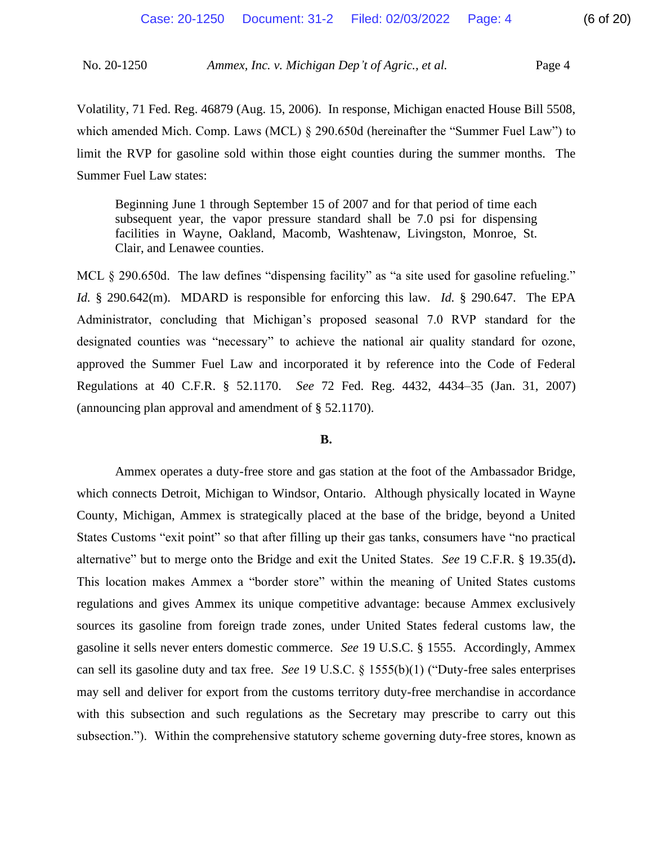limit the RVP for gasoline sold within those eight counties during the summer months. The Volatility, 71 Fed. Reg. 46879 (Aug. 15, 2006). In response, Michigan enacted House Bill 5508, which amended Mich. Comp. Laws (MCL) § 290.650d (hereinafter the "Summer Fuel Law") to Summer Fuel Law states:

 subsequent year, the vapor pressure standard shall be 7.0 psi for dispensing Beginning June 1 through September 15 of 2007 and for that period of time each facilities in Wayne, Oakland, Macomb, Washtenaw, Livingston, Monroe, St. Clair, and Lenawee counties.

MCL § 290.650d. The law defines "dispensing facility" as "a site used for gasoline refueling." *Id.* § 290.642(m). MDARD is responsible for enforcing this law. *Id.* § 290.647. The EPA designated counties was "necessary" to achieve the national air quality standard for ozone, Regulations at 40 C.F.R. § 52.1170. *See* 72 Fed. Reg. 4432, 4434–35 (Jan. 31, 2007) Administrator, concluding that Michigan's proposed seasonal 7.0 RVP standard for the approved the Summer Fuel Law and incorporated it by reference into the Code of Federal (announcing plan approval and amendment of § 52.1170).

#### **B.**

 Ammex operates a duty-free store and gas station at the foot of the Ambassador Bridge, County, Michigan, Ammex is strategically placed at the base of the bridge, beyond a United States Customs "exit point" so that after filling up their gas tanks, consumers have "no practical alternative" but to merge onto the Bridge and exit the United States. *See* 19 C.F.R. § 19.35(d)**.**  This location makes Ammex a "border store" within the meaning of United States customs gasoline it sells never enters domestic commerce. *See* 19 U.S.C. § 1555. Accordingly, Ammex can sell its gasoline duty and tax free. *See* 19 U.S.C. § 1555(b)(1) ("Duty-free sales enterprises with this subsection and such regulations as the Secretary may prescribe to carry out this which connects Detroit, Michigan to Windsor, Ontario. Although physically located in Wayne regulations and gives Ammex its unique competitive advantage: because Ammex exclusively sources its gasoline from foreign trade zones, under United States federal customs law, the may sell and deliver for export from the customs territory duty-free merchandise in accordance subsection."). Within the comprehensive statutory scheme governing duty-free stores, known as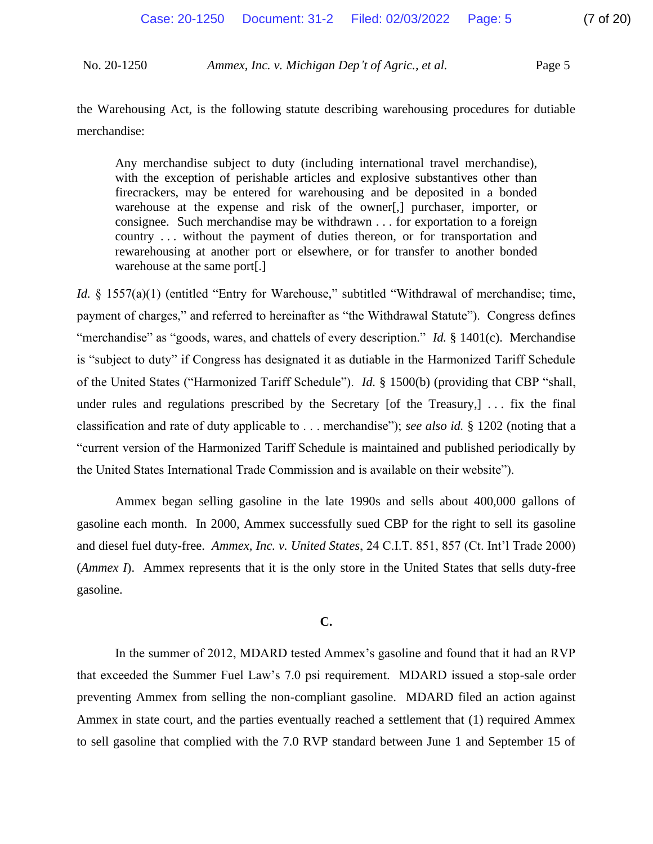the Warehousing Act, is the following statute describing warehousing procedures for dutiable merchandise:

 with the exception of perishable articles and explosive substantives other than firecrackers, may be entered for warehousing and be deposited in a bonded consignee. Such merchandise may be withdrawn . . . for exportation to a foreign Any merchandise subject to duty (including international travel merchandise), warehouse at the expense and risk of the owner[,] purchaser, importer, or country . . . without the payment of duties thereon, or for transportation and rewarehousing at another port or elsewhere, or for transfer to another bonded warehouse at the same port[.]

"merchandise" as "goods, wares, and chattels of every description." *Id.* § 1401(c). Merchandise is "subject to duty" if Congress has designated it as dutiable in the Harmonized Tariff Schedule of the United States ("Harmonized Tariff Schedule"). *Id.* § 1500(b) (providing that CBP "shall, classification and rate of duty applicable to . . . merchandise"); *see also id.* § 1202 (noting that a *Id.* § 1557(a)(1) (entitled "Entry for Warehouse," subtitled "Withdrawal of merchandise; time, payment of charges," and referred to hereinafter as "the Withdrawal Statute"). Congress defines under rules and regulations prescribed by the Secretary [of the Treasury,] ... fix the final "current version of the Harmonized Tariff Schedule is maintained and published periodically by the United States International Trade Commission and is available on their website").

 Ammex began selling gasoline in the late 1990s and sells about 400,000 gallons of gasoline each month. In 2000, Ammex successfully sued CBP for the right to sell its gasoline and diesel fuel duty-free. *Ammex, Inc. v. United States*, 24 C.I.T. 851, 857 (Ct. Int'l Trade 2000) (*Ammex I*). Ammex represents that it is the only store in the United States that sells duty-free gasoline.

#### **C.**

 In the summer of 2012, MDARD tested Ammex's gasoline and found that it had an RVP preventing Ammex from selling the non-compliant gasoline. MDARD filed an action against to sell gasoline that complied with the 7.0 RVP standard between June 1 and September 15 of that exceeded the Summer Fuel Law's 7.0 psi requirement. MDARD issued a stop-sale order Ammex in state court, and the parties eventually reached a settlement that (1) required Ammex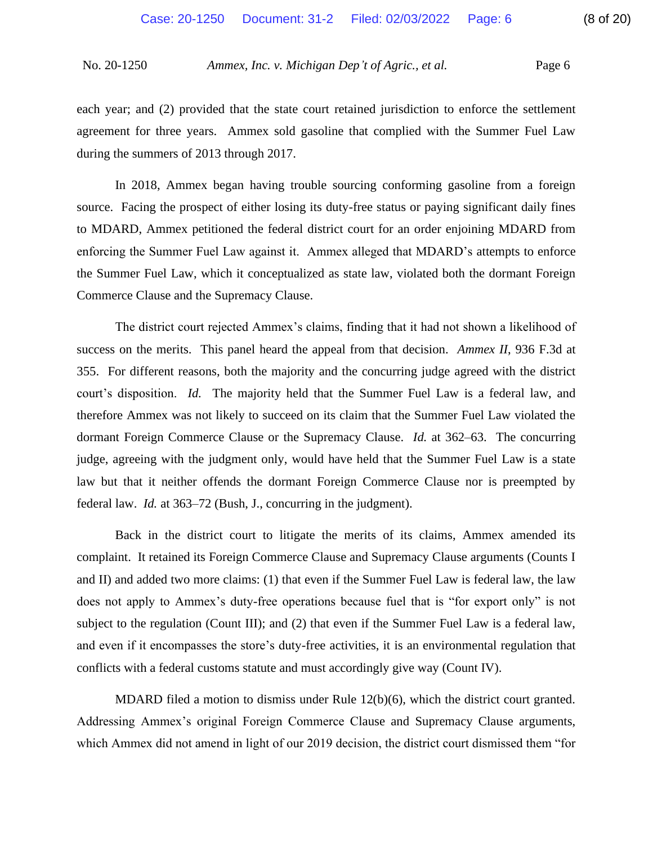each year; and (2) provided that the state court retained jurisdiction to enforce the settlement agreement for three years. Ammex sold gasoline that complied with the Summer Fuel Law during the summers of 2013 through 2017.

 In 2018, Ammex began having trouble sourcing conforming gasoline from a foreign enforcing the Summer Fuel Law against it. Ammex alleged that MDARD's attempts to enforce source. Facing the prospect of either losing its duty-free status or paying significant daily fines to MDARD, Ammex petitioned the federal district court for an order enjoining MDARD from the Summer Fuel Law, which it conceptualized as state law, violated both the dormant Foreign Commerce Clause and the Supremacy Clause.

 court's disposition. *Id.* The majority held that the Summer Fuel Law is a federal law, and therefore Ammex was not likely to succeed on its claim that the Summer Fuel Law violated the dormant Foreign Commerce Clause or the Supremacy Clause. *Id.* at 362–63. The concurring judge, agreeing with the judgment only, would have held that the Summer Fuel Law is a state law but that it neither offends the dormant Foreign Commerce Clause nor is preempted by The district court rejected Ammex's claims, finding that it had not shown a likelihood of success on the merits. This panel heard the appeal from that decision. *Ammex II*, 936 F.3d at 355. For different reasons, both the majority and the concurring judge agreed with the district federal law. *Id.* at 363–72 (Bush, J., concurring in the judgment).

 complaint. It retained its Foreign Commerce Clause and Supremacy Clause arguments (Counts I and II) and added two more claims: (1) that even if the Summer Fuel Law is federal law, the law does not apply to Ammex's duty-free operations because fuel that is "for export only" is not subject to the regulation (Count III); and (2) that even if the Summer Fuel Law is a federal law, and even if it encompasses the store's duty-free activities, it is an environmental regulation that Back in the district court to litigate the merits of its claims, Ammex amended its conflicts with a federal customs statute and must accordingly give way (Count IV).

MDARD filed a motion to dismiss under Rule  $12(b)(6)$ , which the district court granted. MDARD filed a motion to dismiss under Rule 12(b)(6), which the district court granted. Addressing Ammex's original Foreign Commerce Clause and Supremacy Clause arguments, which Ammex did not amend in light of our 2019 decision, the district court dismissed them "for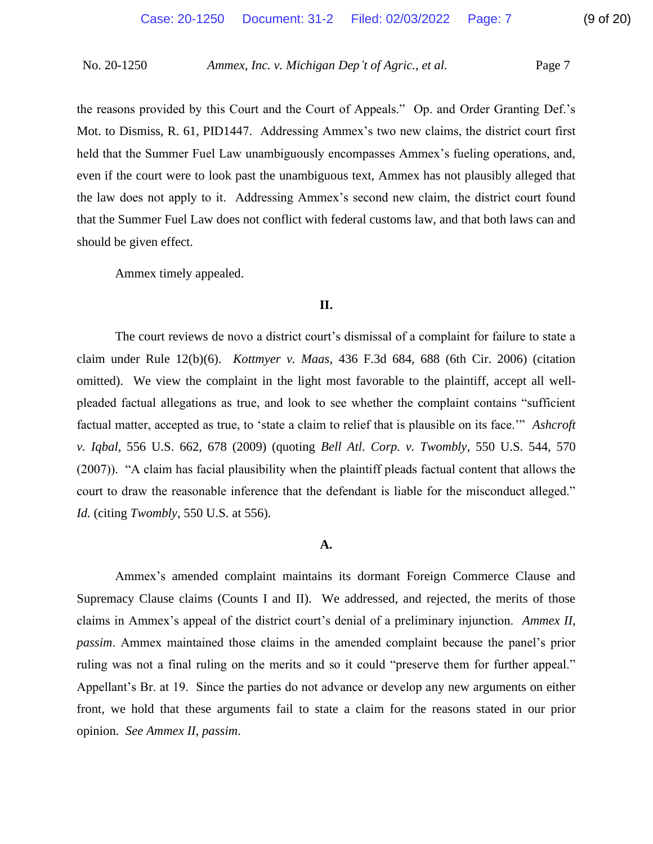the reasons provided by this Court and the Court of Appeals." Op. and Order Granting Def.'s held that the Summer Fuel Law unambiguously encompasses Ammex's fueling operations, and, even if the court were to look past the unambiguous text, Ammex has not plausibly alleged that Mot. to Dismiss, R. 61, PID1447. Addressing Ammex's two new claims, the district court first the law does not apply to it. Addressing Ammex's second new claim, the district court found that the Summer Fuel Law does not conflict with federal customs law, and that both laws can and should be given effect.

 Ammex timely appealed.

#### **II.**

 The court reviews de novo a district court's dismissal of a complaint for failure to state a claim under Rule 12(b)(6). *Kottmyer v. Maas*, 436 F.3d 684, 688 (6th Cir. 2006) (citation omitted). We view the complaint in the light most favorable to the plaintiff, accept all well- factual matter, accepted as true, to 'state a claim to relief that is plausible on its face.'" *Ashcroft*  (2007)). "A claim has facial plausibility when the plaintiff pleads factual content that allows the court to draw the reasonable inference that the defendant is liable for the misconduct alleged." pleaded factual allegations as true, and look to see whether the complaint contains "sufficient *v. Iqbal*, 556 U.S. 662, 678 (2009) (quoting *Bell Atl. Corp. v. Twombly*, 550 U.S. 544, 570 *Id.* (citing *Twombly*, 550 U.S. at 556).

#### **A.**

 Ammex's amended complaint maintains its dormant Foreign Commerce Clause and Supremacy Clause claims (Counts I and II). We addressed, and rejected, the merits of those *passim*. Ammex maintained those claims in the amended complaint because the panel's prior ruling was not a final ruling on the merits and so it could "preserve them for further appeal." Appellant's Br. at 19. Since the parties do not advance or develop any new arguments on either front, we hold that these arguments fail to state a claim for the reasons stated in our prior claims in Ammex's appeal of the district court's denial of a preliminary injunction. *Ammex II*, opinion. *See Ammex II*, *passim*.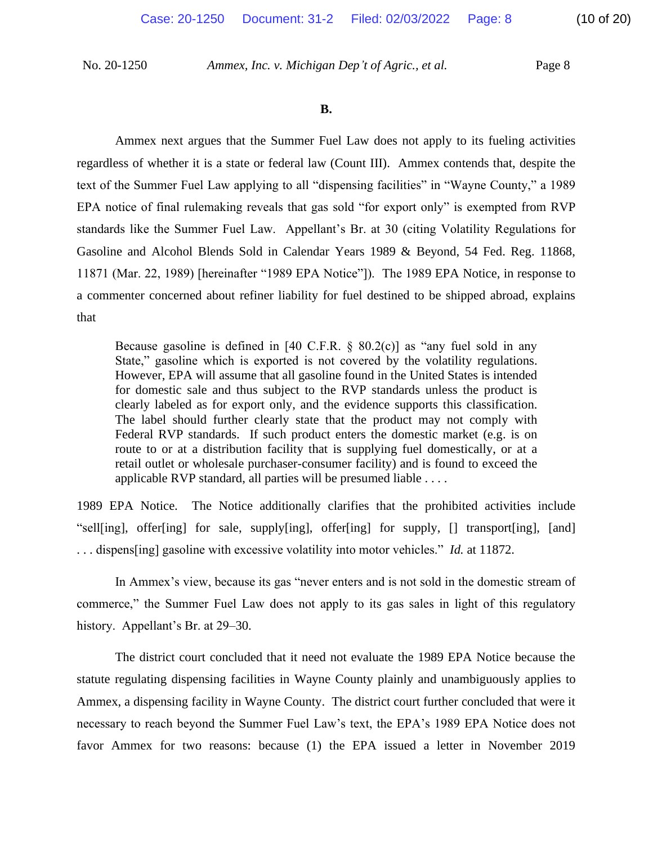regardless of whether it is a state or federal law (Count III). Ammex contends that, despite the text of the Summer Fuel Law applying to all "dispensing facilities" in "Wayne County," a 1989 standards like the Summer Fuel Law. Appellant's Br. at 30 (citing Volatility Regulations for Gasoline and Alcohol Blends Sold in Calendar Years 1989 & Beyond, 54 Fed. Reg. 11868, 11871 (Mar. 22, 1989) [hereinafter "1989 EPA Notice"]). The 1989 EPA Notice, in response to a commenter concerned about refiner liability for fuel destined to be shipped abroad, explains Ammex next argues that the Summer Fuel Law does not apply to its fueling activities EPA notice of final rulemaking reveals that gas sold "for export only" is exempted from RVP that

 Because gasoline is defined in [40 C.F.R. § 80.2(c)] as "any fuel sold in any State," gasoline which is exported is not covered by the volatility regulations. However, EPA will assume that all gasoline found in the United States is intended for domestic sale and thus subject to the RVP standards unless the product is clearly labeled as for export only, and the evidence supports this classification. Federal RVP standards. If such product enters the domestic market (e.g. is on route to or at a distribution facility that is supplying fuel domestically, or at a retail outlet or wholesale purchaser-consumer facility) and is found to exceed the The label should further clearly state that the product may not comply with applicable RVP standard, all parties will be presumed liable . . . .

 1989 EPA Notice. The Notice additionally clarifies that the prohibited activities include "sell[ing], offer[ing] for sale, supply[ing], offer[ing] for supply, [] transport[ing], [and] . . . dispens[ing] gasoline with excessive volatility into motor vehicles." *Id.* at 11872.

In Ammex's view, because its gas "never enters and is not sold in the domestic stream of commerce," the Summer Fuel Law does not apply to its gas sales in light of this regulatory history. Appellant's Br. at 29–30.

 The district court concluded that it need not evaluate the 1989 EPA Notice because the Ammex, a dispensing facility in Wayne County. The district court further concluded that were it favor Ammex for two reasons: because (1) the EPA issued a letter in November 2019 statute regulating dispensing facilities in Wayne County plainly and unambiguously applies to necessary to reach beyond the Summer Fuel Law's text, the EPA's 1989 EPA Notice does not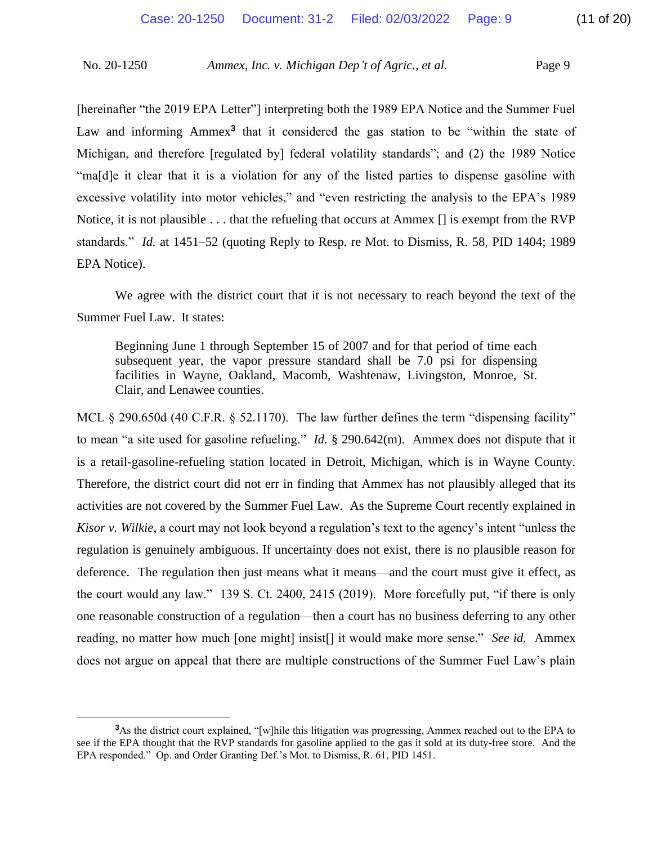Michigan, and therefore [regulated by] federal volatility standards"; and (2) the 1989 Notice "ma[d]e it clear that it is a violation for any of the listed parties to dispense gasoline with Notice, it is not plausible . . . that the refueling that occurs at Ammex [] is exempt from the RVP EPA Notice). [hereinafter "the 2019 EPA Letter"] interpreting both the 1989 EPA Notice and the Summer Fuel Law and informing Ammex<sup>3</sup> that it considered the gas station to be "within the state of excessive volatility into motor vehicles," and "even restricting the analysis to the EPA's 1989 standards." *Id.* at 1451–52 (quoting Reply to Resp. re Mot. to Dismiss, R. 58, PID 1404; 1989

EPA Notice).<br>We agree with the district court that it is not necessary to reach beyond the text of the Summer Fuel Law. It states:

 subsequent year, the vapor pressure standard shall be 7.0 psi for dispensing Beginning June 1 through September 15 of 2007 and for that period of time each facilities in Wayne, Oakland, Macomb, Washtenaw, Livingston, Monroe, St. Clair, and Lenawee counties.

MCL § 290.650d (40 C.F.R. § 52.1170). The law further defines the term "dispensing facility" to mean "a site used for gasoline refueling." *Id.* § 290.642(m). Ammex does not dispute that it activities are not covered by the Summer Fuel Law. As the Supreme Court recently explained in *Kisor v. Wilkie*, a court may not look beyond a regulation's text to the agency's intent "unless the regulation is genuinely ambiguous. If uncertainty does not exist, there is no plausible reason for deference. The regulation then just means what it means—and the court must give it effect, as the court would any law." 139 S. Ct. 2400, 2415 (2019). More forcefully put, "if there is only one reasonable construction of a regulation—then a court has no business deferring to any other reading, no matter how much [one might] insist[] it would make more sense." *See id.* Ammex does not argue on appeal that there are multiple constructions of the Summer Fuel Law's plain is a retail-gasoline-refueling station located in Detroit, Michigan, which is in Wayne County. Therefore, the district court did not err in finding that Ammex has not plausibly alleged that its

 **3** As the district court explained, "[w]hile this litigation was progressing, Ammex reached out to the EPA to see if the EPA thought that the RVP standards for gasoline applied to the gas it sold at its duty-free store. And the EPA responded." Op. and Order Granting Def.'s Mot. to Dismiss, R. 61, PID 1451.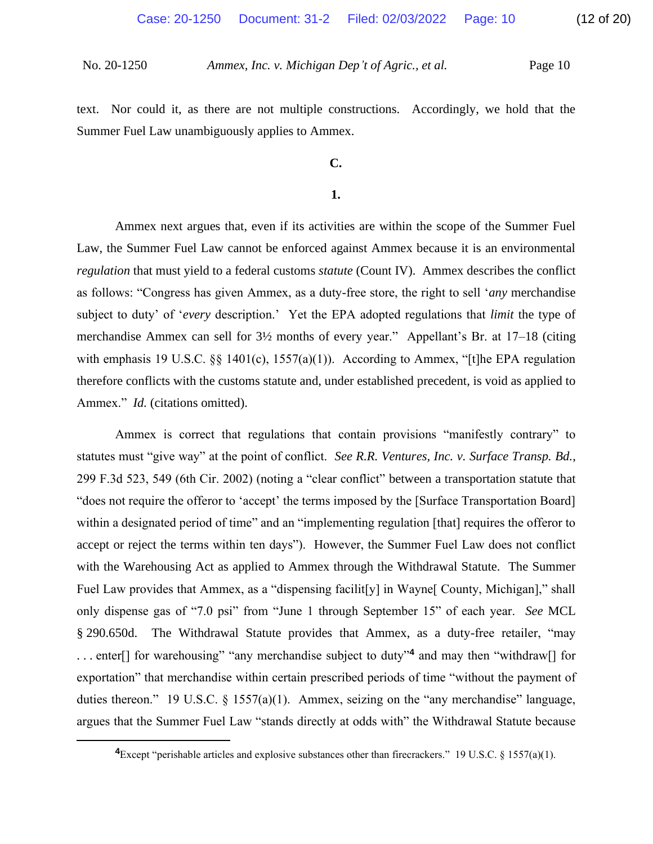text. Nor could it, as there are not multiple constructions. Accordingly, we hold that the Summer Fuel Law unambiguously applies to Ammex.

#### **C.**

#### **1.**

 Ammex next argues that, even if its activities are within the scope of the Summer Fuel Law, the Summer Fuel Law cannot be enforced against Ammex because it is an environmental *regulation* that must yield to a federal customs *statute* (Count IV). Ammex describes the conflict merchandise Ammex can sell for 3½ months of every year." Appellant's Br. at 17–18 (citing with emphasis 19 U.S.C. §§ 1401(c), 1557(a)(1)). According to Ammex, "[t]he EPA regulation Ammex." *Id.* (citations omitted). as follows: "Congress has given Ammex, as a duty-free store, the right to sell '*any* merchandise subject to duty' of '*every* description.' Yet the EPA adopted regulations that *limit* the type of therefore conflicts with the customs statute and, under established precedent, is void as applied to

 statutes must "give way" at the point of conflict. *See R.R. Ventures, Inc. v. Surface Transp. Bd.*, 299 F.3d 523, 549 (6th Cir. 2002) (noting a "clear conflict" between a transportation statute that with the Warehousing Act as applied to Ammex through the Withdrawal Statute. The Summer Fuel Law provides that Ammex, as a "dispensing facilit[y] in Wayne[ County, Michigan]," shall § 290.650d. The Withdrawal Statute provides that Ammex, as a duty-free retailer, "may duties thereon." 19 U.S.C. § 1557(a)(1). Ammex, seizing on the "any merchandise" language, Ammex is correct that regulations that contain provisions "manifestly contrary" to "does not require the offeror to 'accept' the terms imposed by the [Surface Transportation Board] within a designated period of time" and an "implementing regulation [that] requires the offeror to accept or reject the terms within ten days"). However, the Summer Fuel Law does not conflict only dispense gas of "7.0 psi" from "June 1 through September 15" of each year. *See* MCL . . . enter[] for warehousing" "any merchandise subject to duty"**<sup>4</sup>** and may then "withdraw[] for exportation" that merchandise within certain prescribed periods of time "without the payment of argues that the Summer Fuel Law "stands directly at odds with" the Withdrawal Statute because

 **<sup>4</sup>**Except "perishable articles and explosive substances other than firecrackers." 19 U.S.C. § 1557(a)(1).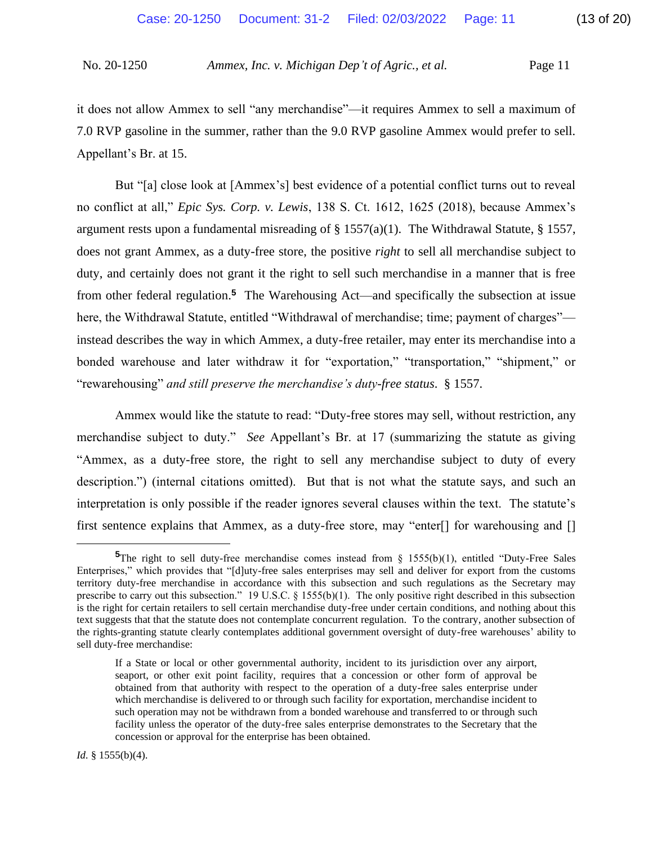it does not allow Ammex to sell "any merchandise"—it requires Ammex to sell a maximum of 7.0 RVP gasoline in the summer, rather than the 9.0 RVP gasoline Ammex would prefer to sell. Appellant's Br. at 15.

 But "[a] close look at [Ammex's] best evidence of a potential conflict turns out to reveal no conflict at all," *Epic Sys. Corp. v. Lewis*, 138 S. Ct. 1612, 1625 (2018), because Ammex's argument rests upon a fundamental misreading of  $\S 1557(a)(1)$ . The Withdrawal Statute,  $\S 1557$ , does not grant Ammex, as a duty-free store, the positive *right* to sell all merchandise subject to duty, and certainly does not grant it the right to sell such merchandise in a manner that is free from other federal regulation.**<sup>5</sup>** The Warehousing Act—and specifically the subsection at issue here, the Withdrawal Statute, entitled "Withdrawal of merchandise; time; payment of charges"— instead describes the way in which Ammex, a duty-free retailer, may enter its merchandise into a bonded warehouse and later withdraw it for "exportation," "transportation," "shipment," or "rewarehousing" *and still preserve the merchandise's duty-free status*. § 1557.

 Ammex would like the statute to read: "Duty-free stores may sell, without restriction, any "Ammex, as a duty-free store, the right to sell any merchandise subject to duty of every interpretation is only possible if the reader ignores several clauses within the text. The statute's merchandise subject to duty." *See* Appellant's Br. at 17 (summarizing the statute as giving description.") (internal citations omitted). But that is not what the statute says, and such an first sentence explains that Ammex, as a duty-free store, may "enter[] for warehousing and []

<sup>&</sup>lt;sup>5</sup>The right to sell duty-free merchandise comes instead from § 1555(b)(1), entitled "Duty-Free Sales Enterprises," which provides that "[d]uty-free sales enterprises may sell and deliver for export from the customs territory duty-free merchandise in accordance with this subsection and such regulations as the Secretary may prescribe to carry out this subsection." 19 U.S.C. § 1555(b)(1). The only positive right described in this subsection is the right for certain retailers to sell certain merchandise duty-free under certain conditions, and nothing about this text suggests that that the statute does not contemplate concurrent regulation. To the contrary, another subsection of the rights-granting statute clearly contemplates additional government oversight of duty-free warehouses' ability to sell duty-free merchandise:

 If a State or local or other governmental authority, incident to its jurisdiction over any airport, seaport, or other exit point facility, requires that a concession or other form of approval be obtained from that authority with respect to the operation of a duty-free sales enterprise under which merchandise is delivered to or through such facility for exportation, merchandise incident to such operation may not be withdrawn from a bonded warehouse and transferred to or through such facility unless the operator of the duty-free sales enterprise demonstrates to the Secretary that the concession or approval for the enterprise has been obtained.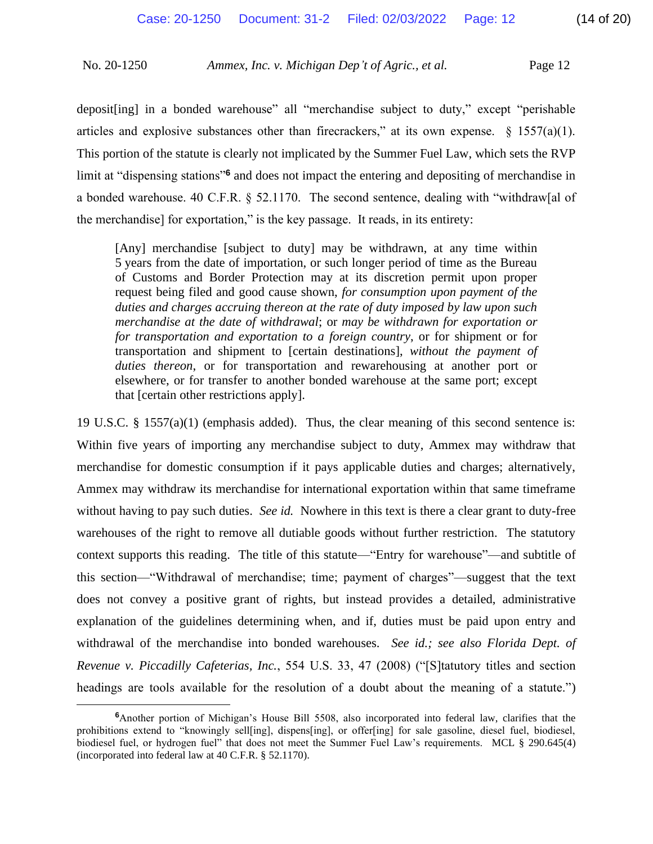deposit[ing] in a bonded warehouse" all "merchandise subject to duty," except "perishable articles and explosive substances other than firecrackers," at its own expense.  $\S$  1557(a)(1). a bonded warehouse. 40 C.F.R. § 52.1170. The second sentence, dealing with "withdraw[al of This portion of the statute is clearly not implicated by the Summer Fuel Law, which sets the RVP limit at "dispensing stations"**<sup>6</sup>** and does not impact the entering and depositing of merchandise in the merchandise] for exportation," is the key passage. It reads, in its entirety:

 [Any] merchandise [subject to duty] may be withdrawn, at any time within request being filed and good cause shown, *for consumption upon payment of the duties and charges accruing thereon at the rate of duty imposed by law upon such merchandise at the date of withdrawal*; or *may be withdrawn for exportation or*  5 years from the date of importation, or such longer period of time as the Bureau of Customs and Border Protection may at its discretion permit upon proper *for transportation and exportation to a foreign country*, or for shipment or for transportation and shipment to [certain destinations], *without the payment of duties thereon*, or for transportation and rewarehousing at another port or elsewhere, or for transfer to another bonded warehouse at the same port; except that [certain other restrictions apply].

 19 U.S.C. § 1557(a)(1) (emphasis added). Thus, the clear meaning of this second sentence is: without having to pay such duties. *See id*. Nowhere in this text is there a clear grant to duty-free warehouses of the right to remove all dutiable goods without further restriction. The statutory context supports this reading. The title of this statute—"Entry for warehouse"—and subtitle of this section—"Withdrawal of merchandise; time; payment of charges"—suggest that the text does not convey a positive grant of rights, but instead provides a detailed, administrative explanation of the guidelines determining when, and if, duties must be paid upon entry and withdrawal of the merchandise into bonded warehouses. *See id.; see also Florida Dept. of*  headings are tools available for the resolution of a doubt about the meaning of a statute.") Within five years of importing any merchandise subject to duty, Ammex may withdraw that merchandise for domestic consumption if it pays applicable duties and charges; alternatively, Ammex may withdraw its merchandise for international exportation within that same timeframe *Revenue v. Piccadilly Cafeterias, Inc.*, 554 U.S. 33, 47 (2008) ("[S]tatutory titles and section

 **6** Another portion of Michigan's House Bill 5508, also incorporated into federal law, clarifies that the prohibitions extend to "knowingly sell[ing], dispens[ing], or offer[ing] for sale gasoline, diesel fuel, biodiesel, biodiesel fuel, or hydrogen fuel" that does not meet the Summer Fuel Law's requirements. MCL § 290.645(4) (incorporated into federal law at 40 C.F.R. § 52.1170).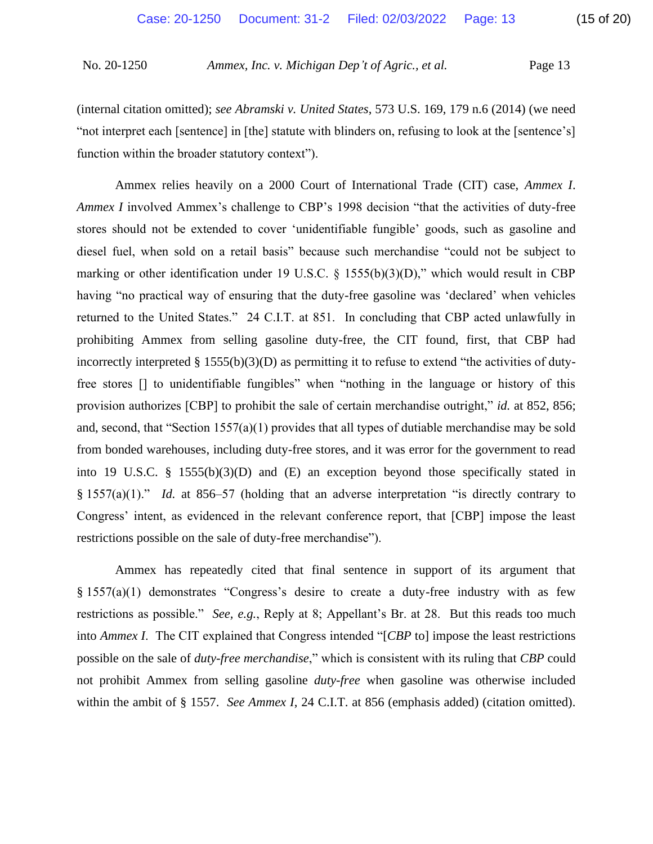(internal citation omitted); *see Abramski v. United States*, 573 U.S. 169, 179 n.6 (2014) (we need "not interpret each [sentence] in [the] statute with blinders on, refusing to look at the [sentence's] function within the broader statutory context").

 Ammex relies heavily on a 2000 Court of International Trade (CIT) case, *Ammex I*. *Ammex I* involved Ammex's challenge to CBP's 1998 decision "that the activities of duty-free stores should not be extended to cover 'unidentifiable fungible' goods, such as gasoline and diesel fuel, when sold on a retail basis" because such merchandise "could not be subject to marking or other identification under 19 U.S.C. § 1555(b)(3)(D)," which would result in CBP returned to the United States." 24 C.I.T. at 851. In concluding that CBP acted unlawfully in prohibiting Ammex from selling gasoline duty-free, the CIT found, first, that CBP had incorrectly interpreted § 1555(b)(3)(D) as permitting it to refuse to extend "the activities of duty- free stores [] to unidentifiable fungibles" when "nothing in the language or history of this § 1557(a)(1)." *Id.* at 856–57 (holding that an adverse interpretation "is directly contrary to having "no practical way of ensuring that the duty-free gasoline was 'declared' when vehicles provision authorizes [CBP] to prohibit the sale of certain merchandise outright," *id.* at 852, 856; and, second, that "Section 1557(a)(1) provides that all types of dutiable merchandise may be sold from bonded warehouses, including duty-free stores, and it was error for the government to read into 19 U.S.C. § 1555(b)(3)(D) and (E) an exception beyond those specifically stated in Congress' intent, as evidenced in the relevant conference report, that [CBP] impose the least restrictions possible on the sale of duty-free merchandise").

 Ammex has repeatedly cited that final sentence in support of its argument that § 1557(a)(1) demonstrates "Congress's desire to create a duty-free industry with as few restrictions as possible." *See, e.g.*, Reply at 8; Appellant's Br. at 28. But this reads too much into *Ammex I*. The CIT explained that Congress intended "[*CBP* to] impose the least restrictions not prohibit Ammex from selling gasoline *duty-free* when gasoline was otherwise included within the ambit of § 1557. *See Ammex I*, 24 C.I.T. at 856 (emphasis added) (citation omitted). possible on the sale of *duty-free merchandise*," which is consistent with its ruling that *CBP* could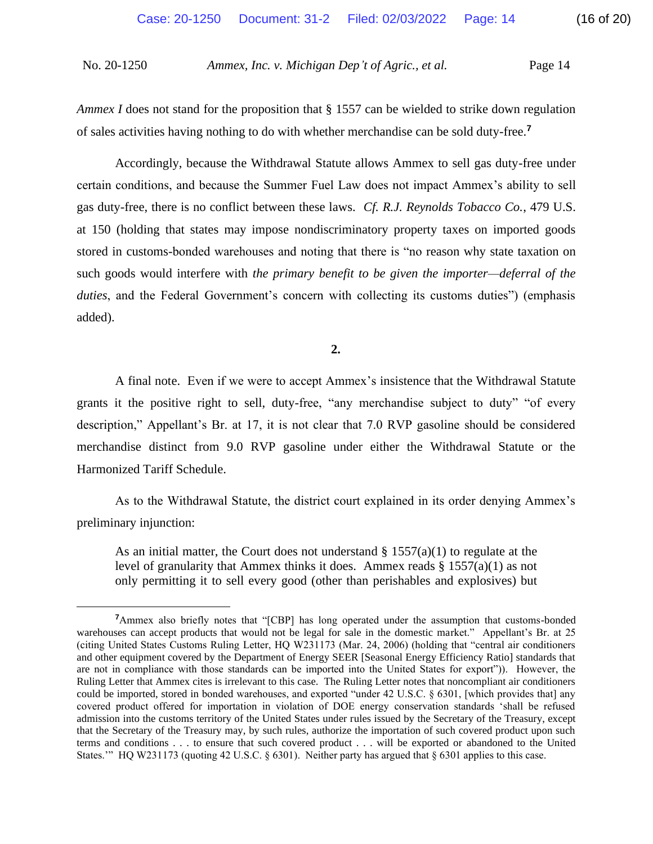*Ammex I* does not stand for the proposition that § 1557 can be wielded to strike down regulation of sales activities having nothing to do with whether merchandise can be sold duty-free.**<sup>7</sup>**

 Accordingly, because the Withdrawal Statute allows Ammex to sell gas duty-free under gas duty-free, there is no conflict between these laws. *Cf. R.J. Reynolds Tobacco Co.*, 479 U.S. stored in customs-bonded warehouses and noting that there is "no reason why state taxation on certain conditions, and because the Summer Fuel Law does not impact Ammex's ability to sell at 150 (holding that states may impose nondiscriminatory property taxes on imported goods such goods would interfere with *the primary benefit to be given the importer—deferral of the duties*, and the Federal Government's concern with collecting its customs duties") (emphasis added).

**2.** 

 A final note. Even if we were to accept Ammex's insistence that the Withdrawal Statute description," Appellant's Br. at 17, it is not clear that 7.0 RVP gasoline should be considered grants it the positive right to sell, duty-free, "any merchandise subject to duty" "of every merchandise distinct from 9.0 RVP gasoline under either the Withdrawal Statute or the Harmonized Tariff Schedule.

As to the Withdrawal Statute, the district court explained in its order denying Ammex's preliminary injunction:

As an initial matter, the Court does not understand  $\S$  1557(a)(1) to regulate at the level of granularity that Ammex thinks it does. Ammex reads § 1557(a)(1) as not only permitting it to sell every good (other than perishables and explosives) but

<sup>&</sup>lt;sup>7</sup> Ammex also briefly notes that "[CBP] has long operated under the assumption that customs-bonded warehouses can accept products that would not be legal for sale in the domestic market." Appellant's Br. at 25 (citing United States Customs Ruling Letter, HQ W231173 (Mar. 24, 2006) (holding that "central air conditioners and other equipment covered by the Department of Energy SEER [Seasonal Energy Efficiency Ratio] standards that are not in compliance with those standards can be imported into the United States for export")). However, the Ruling Letter that Ammex cites is irrelevant to this case. The Ruling Letter notes that noncompliant air conditioners could be imported, stored in bonded warehouses, and exported "under 42 U.S.C. § 6301, [which provides that] any covered product offered for importation in violation of DOE energy conservation standards 'shall be refused admission into the customs territory of the United States under rules issued by the Secretary of the Treasury, except that the Secretary of the Treasury may, by such rules, authorize the importation of such covered product upon such terms and conditions . . . to ensure that such covered product . . . will be exported or abandoned to the United States.'" HQ W231173 (quoting 42 U.S.C. § 6301). Neither party has argued that § 6301 applies to this case.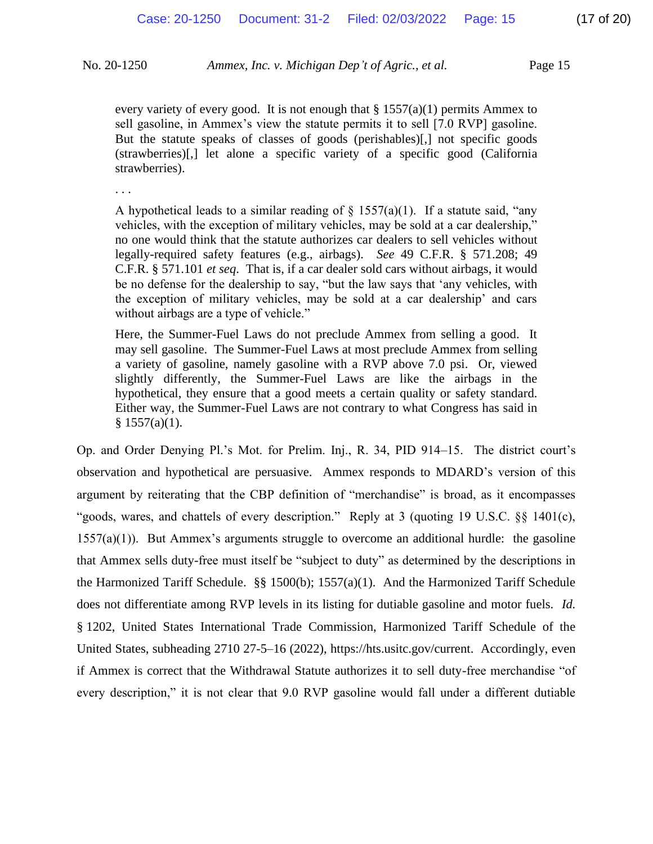sell gasoline, in Ammex's view the statute permits it to sell [7.0 RVP] gasoline. But the statute speaks of classes of goods (perishables)[,] not specific goods (strawberries)[,] let alone a specific variety of a specific good (California every variety of every good. It is not enough that  $\S 1557(a)(1)$  permits Ammex to strawberries).

. . .

A hypothetical leads to a similar reading of  $\S$  1557(a)(1). If a statute said, "any vehicles, with the exception of military vehicles, may be sold at a car dealership," be no defense for the dealership to say, "but the law says that 'any vehicles, with the exception of military vehicles, may be sold at a car dealership' and cars no one would think that the statute authorizes car dealers to sell vehicles without legally-required safety features (e.g., airbags). *See* 49 C.F.R. § 571.208; 49 C.F.R. § 571.101 *et seq*. That is, if a car dealer sold cars without airbags, it would without airbags are a type of vehicle."

 Here, the Summer-Fuel Laws do not preclude Ammex from selling a good. It may sell gasoline. The Summer-Fuel Laws at most preclude Ammex from selling a variety of gasoline, namely gasoline with a RVP above 7.0 psi. Or, viewed slightly differently, the Summer-Fuel Laws are like the airbags in the hypothetical, they ensure that a good meets a certain quality or safety standard. Either way, the Summer-Fuel Laws are not contrary to what Congress has said in  $§ 1557(a)(1).$ 

 Op. and Order Denying Pl.'s Mot. for Prelim. Inj., R. 34, PID 914–15. The district court's "goods, wares, and chattels of every description." Reply at 3 (quoting 19 U.S.C. §§ 1401(c), 1557(a)(1)). But Ammex's arguments struggle to overcome an additional hurdle: the gasoline that Ammex sells duty-free must itself be "subject to duty" as determined by the descriptions in § 1202, United States International Trade Commission, Harmonized Tariff Schedule of the if Ammex is correct that the Withdrawal Statute authorizes it to sell duty-free merchandise "of every description," it is not clear that 9.0 RVP gasoline would fall under a different dutiable observation and hypothetical are persuasive. Ammex responds to MDARD's version of this argument by reiterating that the CBP definition of "merchandise" is broad, as it encompasses the Harmonized Tariff Schedule. §§ 1500(b); 1557(a)(1). And the Harmonized Tariff Schedule does not differentiate among RVP levels in its listing for dutiable gasoline and motor fuels. *Id.*  United States, subheading 2710 27-5–16 (2022), <https://hts.usitc.gov/current>. Accordingly, even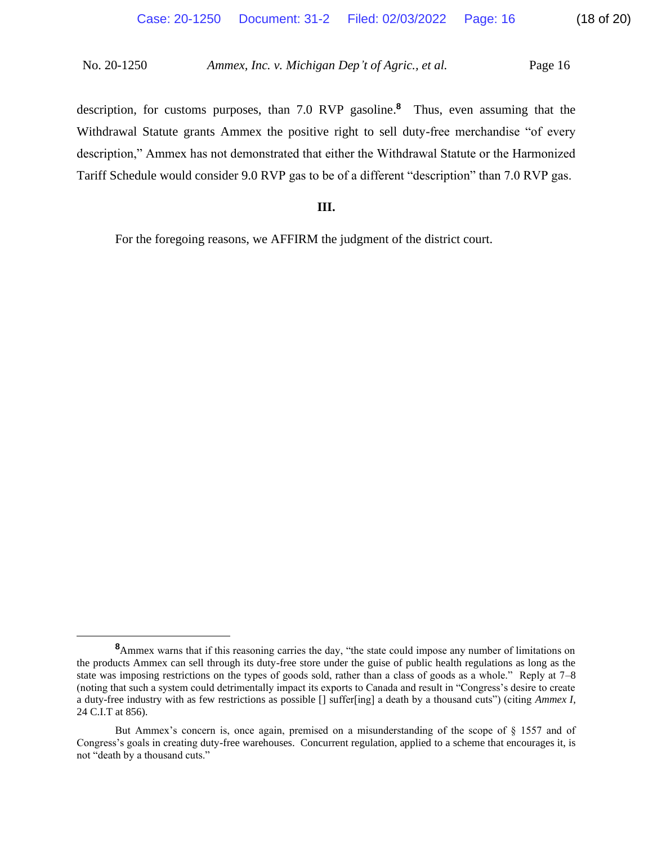description, for customs purposes, than 7.0 RVP gasoline.<sup>8</sup> Thus, even assuming that the Withdrawal Statute grants Ammex the positive right to sell duty-free merchandise "of every description," Ammex has not demonstrated that either the Withdrawal Statute or the Harmonized Tariff Schedule would consider 9.0 RVP gas to be of a different "description" than 7.0 RVP gas.

### **III.**

For the foregoing reasons, we AFFIRM the judgment of the district court.

 **<sup>8</sup>**Ammex warns that if this reasoning carries the day, "the state could impose any number of limitations on the products Ammex can sell through its duty-free store under the guise of public health regulations as long as the state was imposing restrictions on the types of goods sold, rather than a class of goods as a whole." Reply at 7–8 (noting that such a system could detrimentally impact its exports to Canada and result in "Congress's desire to create a duty-free industry with as few restrictions as possible [] suffer[ing] a death by a thousand cuts") (citing *Ammex I*, 24 C.I.T at 856).

 But Ammex's concern is, once again, premised on a misunderstanding of the scope of § 1557 and of Congress's goals in creating duty-free warehouses. Concurrent regulation, applied to a scheme that encourages it, is not "death by a thousand cuts."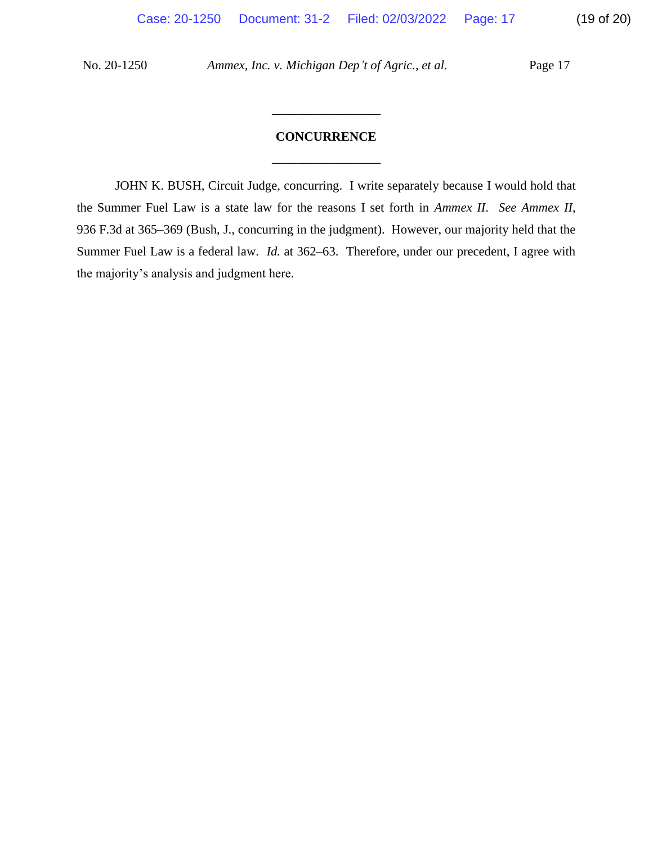# \_\_\_\_\_\_\_\_\_\_\_\_\_\_\_\_\_ **CONCURRENCE**

\_\_\_\_\_\_\_\_\_\_\_\_\_\_\_\_\_

 JOHN K. BUSH, Circuit Judge, concurring. I write separately because I would hold that the Summer Fuel Law is a state law for the reasons I set forth in *Ammex II*. *See Ammex II*, Summer Fuel Law is a federal law. *Id.* at 362–63. Therefore, under our precedent, I agree with 936 F.3d at 365–369 (Bush, J., concurring in the judgment). However, our majority held that the the majority's analysis and judgment here.